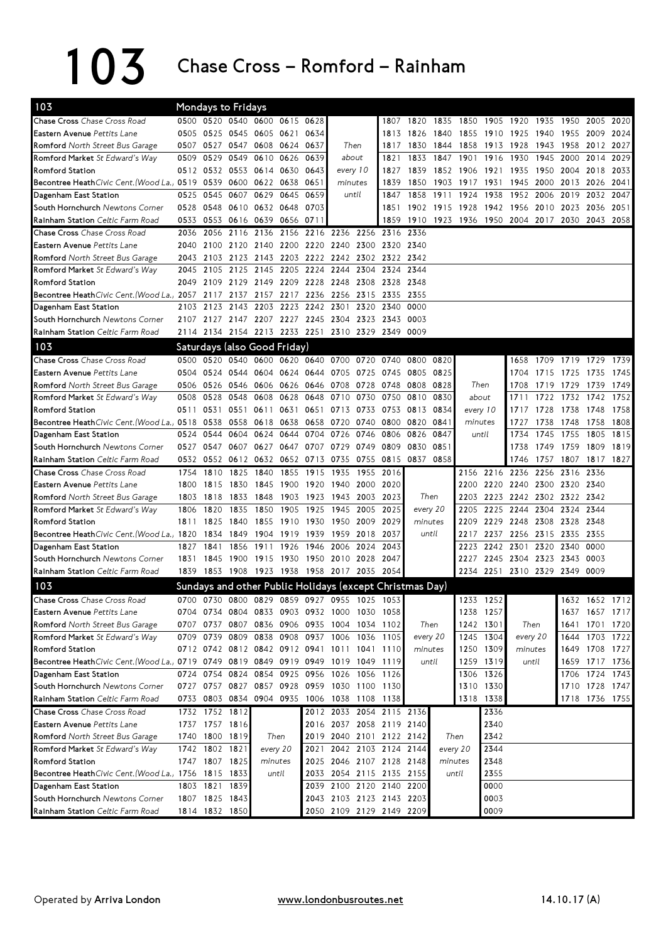## 103 Chase Cross – Romford – Rainham

| <b>Chase Cross</b> Chase Cross Road                                                |           |                                  | Mondays to Fridays  |                                    |      |                |                                                      |           |                     |                                                          |           |           |                     |                                    |           |                     |           |                |
|------------------------------------------------------------------------------------|-----------|----------------------------------|---------------------|------------------------------------|------|----------------|------------------------------------------------------|-----------|---------------------|----------------------------------------------------------|-----------|-----------|---------------------|------------------------------------|-----------|---------------------|-----------|----------------|
|                                                                                    |           |                                  |                     | 0500 0520 0540 0600 0615 0628      |      |                |                                                      |           | 1807                | 1820                                                     |           |           |                     | 1835 1850 1905 1920 1935 1950      |           |                     | 2005      | 2020           |
| Eastern Avenue Pettits Lane                                                        |           |                                  |                     | 0505 0525 0545 0605 0621           |      | 0634           |                                                      |           | 1813                | 1826                                                     |           |           | 1840 1855 1910      | 1925 1940 1955                     |           |                     | 2009      | 2024           |
| Romford North Street Bus Garage                                                    |           |                                  |                     | 0507 0527 0547 0608 0624 0637      |      |                | Then                                                 |           | 1817                | 1830                                                     | 1844 1858 |           | 1913                | 1928                               |           | 1943 1958 2012      |           | 2027           |
| Romford Market St Edward's Way                                                     | 0509      |                                  |                     | 0529 0549 0610 0626                |      | 0639           | about                                                |           | 1821                | 1833                                                     | 1847      | 1901      | 1916                | 1930                               | 1945 2000 |                     | 2014      | 2029           |
| <b>Romford Station</b>                                                             |           |                                  |                     | 0512 0532 0553 0614 0630           |      | 0643           | every 10                                             |           | 1827                | 1839                                                     |           |           | 1852 1906 1921 1935 |                                    |           | 1950 2004 2018 2033 |           |                |
| Becontree HeathCivic Cent. (Wood La.) 0519 0539                                    |           |                                  |                     | 0600 0622 0638                     |      | 0651           | minutes                                              |           | 1839                | 1850                                                     |           | 1903 1917 | 1931                | 1945                               | 2000 2013 |                     | 2026      | 2041           |
| Dagenham East Station                                                              | 0525      | 0545                             | 0607                | 0629                               | 0645 | 0659           | until                                                |           | 1847                | 1858                                                     | 1911      | 1924      | 1938                | 1952                               | 2006 2019 |                     | 2032      | 2047           |
| South Hornchurch Newtons Corner                                                    | 0528      |                                  |                     | 0548 0610 0632 0648                |      | 0703           |                                                      |           | 1851                | 1902                                                     |           |           |                     | 1915 1928 1942 1956 2010 2023 2036 |           |                     |           | 2051           |
| Rainham Station Celtic Farm Road                                                   | 0533      |                                  |                     | 0553 0616 0639 0656 0711           |      |                |                                                      |           | 1859                |                                                          |           |           |                     | 1910 1923 1936 1950 2004 2017 2030 |           |                     | 2043 2058 |                |
| Chase Cross Chase Cross Road                                                       | 2036      | 2056                             | 2116 2136           |                                    | 2156 | 2216 2236      |                                                      | 2256 2316 |                     | 2336                                                     |           |           |                     |                                    |           |                     |           |                |
| Eastern Avenue Pettits Lane                                                        | 2040      | 2100                             |                     | 2120 2140 2200 2220 2240           |      |                |                                                      | 2300      | 2320 2340           |                                                          |           |           |                     |                                    |           |                     |           |                |
| Romford North Street Bus Garage                                                    |           |                                  |                     |                                    |      |                | 2043 2103 2123 2143 2203 2222 2242 2302 2322 2342    |           |                     |                                                          |           |           |                     |                                    |           |                     |           |                |
| Romford Market St Edward's Way                                                     | 2045      |                                  |                     | 2105 2125 2145 2205 2224 2244      |      |                |                                                      |           | 2304 2324 2344      |                                                          |           |           |                     |                                    |           |                     |           |                |
| <b>Romford Station</b>                                                             | 2049      |                                  |                     | 2109 2129 2149 2209 2228 2248      |      |                |                                                      |           | 2308 2328 2348      |                                                          |           |           |                     |                                    |           |                     |           |                |
| Becontree HeathCivic Cent. (Wood La.) 2057 2117 2137 2157 2217 2236 2256           |           |                                  |                     |                                    |      |                |                                                      |           | 2315 2335 2355      |                                                          |           |           |                     |                                    |           |                     |           |                |
| Dagenham East Station                                                              | 2103      |                                  | 2123 2143 2203      |                                    |      | 2223 2242 2301 |                                                      | 2320      | 2340                | 0000                                                     |           |           |                     |                                    |           |                     |           |                |
| South Hornchurch Newtons Corner                                                    |           |                                  |                     |                                    |      |                | 2107 2127 2147 2207 2227 2245 2304 2323 2343 0003    |           |                     |                                                          |           |           |                     |                                    |           |                     |           |                |
| Rainham Station Celtic Farm Road                                                   |           |                                  |                     |                                    |      |                | 2114 2134 2154 2213 2233 2251 2310 2329 2349 0009    |           |                     |                                                          |           |           |                     |                                    |           |                     |           |                |
| 103                                                                                |           |                                  |                     | Saturdays (also Good Friday)       |      |                |                                                      |           |                     |                                                          |           |           |                     |                                    |           |                     |           |                |
| Chase Cross Chase Cross Road                                                       |           |                                  |                     | 0500 0520 0540 0600 0620 0640 0700 |      |                |                                                      | 0720      | 0740                | 0800                                                     | 0820      |           |                     | 1658                               |           | 1709 1719 1729 1739 |           |                |
| Eastern Avenue Pettits Lane                                                        |           |                                  | 0504 0524 0544 0604 |                                    |      | 0624 0644 0705 |                                                      |           | 0725 0745 0805      |                                                          | 0825      |           |                     | 1704                               | 1715 1725 |                     | 1735      | 1745           |
| Romford North Street Bus Garage                                                    | 0506      |                                  | 0526 0546 0606      |                                    |      | 0626 0646 0708 |                                                      | 0728      | 0748 0808           |                                                          | 0828      |           | Then                | 1708                               | 1719 1729 |                     | 1739      | 1749           |
| Romford Market St Edward's Way                                                     | 0508      | 0528                             | 0548                | 0608                               | 0628 | 0648           | 0710                                                 | 0730      | 0750                | 0810                                                     | 0830      |           | about               | 1711                               | 1722      | 1732                | 1742      | 1752           |
| <b>Romford Station</b>                                                             | 0511 0531 |                                  | 0551                | 0611                               | 0631 | 0651           | 0713                                                 | 0733      | 0753 0813           |                                                          | 0834      |           | every 10            | 1717                               | 1728      | 1738                | 1748      | 1758           |
| Becontree HeathCivic Cent. (Wood La.) 0518                                         |           | 0538                             | 0558 0618           |                                    | 0638 | 0658 0720      |                                                      | 0740      | 0800 0820           |                                                          | 0841      |           | minutes             | 1727                               | 1738      | 1748                | 1758      | 1808           |
| Dagenham East Station                                                              |           | 0524 0544                        | 0604                | 0624                               | 0644 | 0704           | 0726                                                 | 0746      | 0806                | 0826                                                     | 0847      |           | until               | 1734                               | 1745 1755 |                     | 1805      | 1815           |
| South Hornchurch Newtons Corner                                                    | 0527      |                                  |                     | 0547 0607 0627 0647 0707 0729      |      |                |                                                      |           | 0749 0809 0830      |                                                          | 0851      |           |                     | 1738                               |           | 1749 1759 1809      |           | 1819           |
| Rainham Station Celtic Farm Road                                                   |           |                                  |                     | 0532 0552 0612 0632 0652 0713 0735 |      |                |                                                      |           | 0755 0815 0837      |                                                          | 0858      |           |                     | 1746                               |           | 1757 1807 1817 1827 |           |                |
| Chase Cross Chase Cross Road                                                       | 1754      | 1810                             | 1825                | 1840                               | 1855 | 1915           | 1935                                                 | 1955      | 2016                |                                                          |           |           | 2156 2216 2236      |                                    | 2256 2316 |                     | 2336      |                |
| <b>Eastern Avenue</b> Pettits Lane                                                 | 1800      | 1815                             | 1830                | 1845                               |      | 1900 1920 1940 |                                                      | 2000 2020 |                     |                                                          |           |           |                     | 2200 2220 2240 2300 2320 2340      |           |                     |           |                |
| Romford North Street Bus Garage                                                    | 1803      | 1818                             | 1833                | 1848                               |      |                | 1903 1923 1943 2003 2023                             |           |                     | Then                                                     |           |           |                     | 2203 2223 2242 2302 2322 2342      |           |                     |           |                |
| Romford Market St Edward's Way                                                     | 1806      | 1820                             | 1835                | 1850                               | 1905 | 1925 1945      |                                                      | 2005      | 2025                | every 20                                                 |           |           |                     | 2205 2225 2244 2304 2324 2344      |           |                     |           |                |
| <b>Romford Station</b>                                                             | 1811      | 1825                             | 1840                | 1855                               |      | 1910 1930 1950 |                                                      | 2009      | 2029<br>2037        | minutes<br>until                                         |           | 2209      | 2229                |                                    |           |                     |           |                |
| Becontree HeathCivic Cent. (Wood La.) 1820                                         |           |                                  |                     |                                    |      |                |                                                      |           |                     |                                                          |           |           |                     |                                    |           | 2248 2308 2328 2348 |           |                |
| Dagenham East Station                                                              |           |                                  | 1834 1849           | 1904                               |      |                | 1919 1939 1959                                       | 2018      |                     |                                                          |           | 2217      |                     | 2237 2256 2315 2335                |           |                     | 2355      |                |
|                                                                                    | 1827      | 1841                             | 1856                | 1911                               | 1926 | 1946           | 2006                                                 | 2024      | 2043                |                                                          |           | 2223      | 2242 2301           |                                    | 2320 2340 |                     | 0000      |                |
| South Hornchurch Newtons Corner                                                    | 1831      |                                  |                     |                                    |      |                | 1845 1900 1915 1930 1950 2010 2028 2047              |           |                     |                                                          |           |           |                     | 2227 2245 2304 2323 2343 0003      |           |                     |           |                |
| Rainham Station Celtic Farm Road                                                   |           |                                  |                     |                                    |      |                | 1839 1853 1908 1923 1938 1958 2017 2035 2054         |           |                     |                                                          |           |           |                     | 2234 2251 2310 2329 2349 0009      |           |                     |           |                |
| 103                                                                                |           |                                  |                     |                                    |      |                |                                                      |           |                     | Sundays and other Public Holidays (except Christmas Day) |           |           |                     |                                    |           |                     |           |                |
| Chase Cross Chase Cross Road                                                       |           |                                  |                     |                                    |      |                | 0700 0730 0800 0829 0859 0927 0955 1025 1053         |           |                     |                                                          |           |           | 1233 1252           |                                    |           |                     |           | 1632 1652 1712 |
| Eastern Avenue Pettits Lane                                                        |           |                                  |                     |                                    |      |                | 0704 0734 0804 0833 0903 0932 1000 1030 1058         |           |                     |                                                          |           |           | 1238 1257           |                                    |           |                     |           | 1637 1657 1717 |
| Romford North Street Bus Garage                                                    |           |                                  | 0707 0737 0807      | 0836                               |      |                | 0906 0935 1004 1034 1102                             |           |                     | Then                                                     |           |           | 1242 1301           | Then                               |           | 1641                |           | 1701 1720      |
| Romford Market St Edward's Way                                                     |           |                                  |                     |                                    |      |                | 0709 0739 0809 0838 0908 0937 1006 1036 1105         |           |                     | every 20                                                 |           |           | 1245 1304           | every 20                           |           | 1644                |           | 1703 1722      |
| Romford Station                                                                    |           |                                  |                     |                                    |      |                | 0712 0742 0812 0842 0912 0941 1011 1041 1110         |           |                     | minutes                                                  |           |           | 1250 1309           | minutes                            |           | 1649                |           | 1708 1727      |
| Becontree HeathCivic Cent. (Wood La.) 0719 0749 0819 0849 0919 0949 1019 1049 1119 |           |                                  |                     |                                    |      |                |                                                      |           |                     | until                                                    |           |           | 1259 1319           | until                              |           | 1659                | 1717 1736 |                |
| Dagenham East Station                                                              |           |                                  |                     | 0724 0754 0824 0854 0925 0956 1026 |      |                |                                                      | 1056 1126 |                     |                                                          |           |           | 1306 1326           |                                    |           | 1706                |           | 1724 1743      |
| South Hornchurch Newtons Corner                                                    |           |                                  |                     |                                    |      |                | 0727 0757 0827 0857 0928 0959 1030 1100 1130         |           |                     |                                                          |           |           | 1310 1330           |                                    |           |                     |           | 1710 1728 1747 |
| Rainham Station Celtic Farm Road                                                   |           |                                  |                     |                                    |      |                | 0733 0803 0834 0904 0935 1006 1038 1108 1138         |           |                     |                                                          |           |           | 1318 1338           |                                    |           |                     |           | 1718 1736 1755 |
| Chase Cross Chase Cross Road                                                       |           | 1732 1752 1812                   |                     |                                    |      |                | 2012 2033 2054 2115 2136                             |           |                     |                                                          |           |           | 2336                |                                    |           |                     |           |                |
| Eastern Avenue Pettits Lane                                                        |           | 1737 1757 1816                   |                     |                                    |      |                | 2016 2037 2058 2119 2140                             |           |                     |                                                          |           |           | 2340                |                                    |           |                     |           |                |
| Romford North Street Bus Garage                                                    |           | 1740 1800 1819                   |                     | Then                               |      |                | 2019 2040 2101 2122 2142                             |           |                     |                                                          | Then      |           | 2342                |                                    |           |                     |           |                |
| Romford Market St Edward's Way                                                     |           | 1742 1802 1821                   |                     | every 20                           |      | 2021           |                                                      |           | 2042 2103 2124 2144 |                                                          | every 20  |           | 2344                |                                    |           |                     |           |                |
| Romford Station                                                                    |           | 1747 1807 1825                   |                     | minutes                            |      |                | 2025 2046 2107 2128 2148                             |           |                     |                                                          | minutes   |           | 2348                |                                    |           |                     |           |                |
| Becontree HeathCivic Cent. (Wood La.) 1756 1815 1833                               |           |                                  |                     | until                              |      |                | 2033 2054 2115 2135 2155                             |           |                     |                                                          |           | until     | 2355                |                                    |           |                     |           |                |
| Dagenham East Station<br>South Hornchurch Newtons Corner                           |           | 1803 1821 1839<br>1807 1825 1843 |                     |                                    |      |                | 2039 2100 2120 2140 2200<br>2043 2103 2123 2143 2203 |           |                     |                                                          |           |           | 0000<br>0003        |                                    |           |                     |           |                |